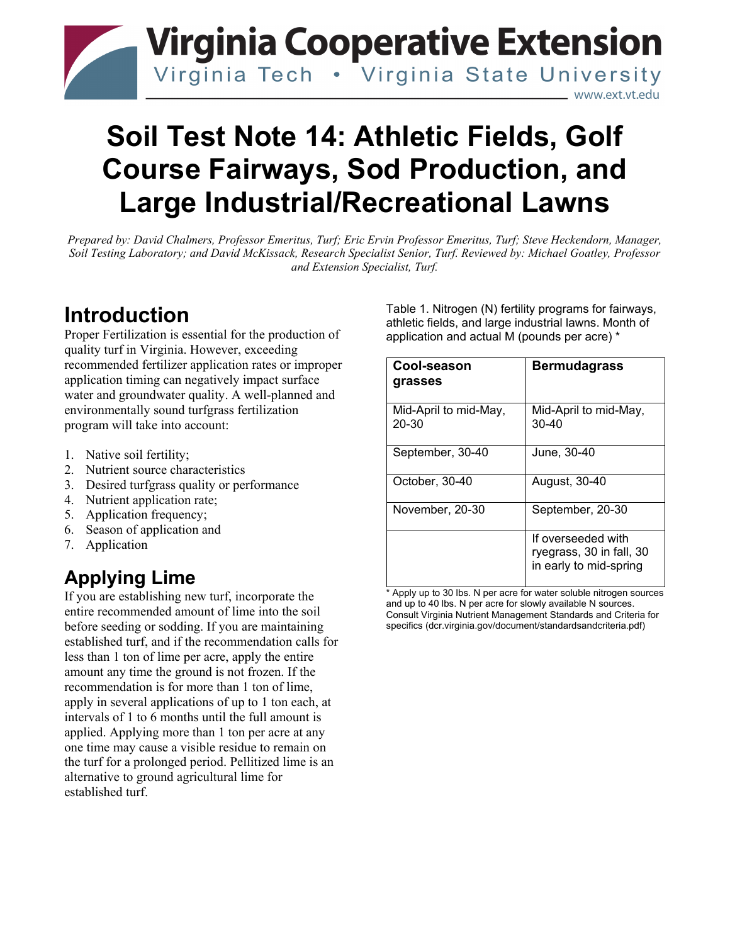# **Virginia Cooperative Extension** Virginia Tech . Virginia State University www.ext.vt.edu

# **Soil Test Note 14: Athletic Fields, Golf Course Fairways, Sod Production, and Large Industrial/Recreational Lawns**

*Prepared by: David Chalmers, Professor Emeritus, Turf; Eric Ervin Professor Emeritus, Turf; Steve Heckendorn, Manager, Soil Testing Laboratory; and David McKissack, Research Specialist Senior, Turf. Reviewed by: Michael Goatley, Professor and Extension Specialist, Turf.* 

# **Introduction**

Proper Fertilization is essential for the production of quality turf in Virginia. However, exceeding recommended fertilizer application rates or improper application timing can negatively impact surface water and groundwater quality. A well-planned and environmentally sound turfgrass fertilization program will take into account:

- 1. Native soil fertility;
- 2. Nutrient source characteristics
- 3. Desired turfgrass quality or performance
- 4. Nutrient application rate;
- 5. Application frequency;
- 6. Season of application and
- 7. Application

# **Applying Lime**

If you are establishing new turf, incorporate the entire recommended amount of lime into the soil before seeding or sodding. If you are maintaining established turf, and if the recommendation calls for less than 1 ton of lime per acre, apply the entire amount any time the ground is not frozen. If the recommendation is for more than 1 ton of lime, apply in several applications of up to 1 ton each, at intervals of 1 to 6 months until the full amount is applied. Applying more than 1 ton per acre at any one time may cause a visible residue to remain on the turf for a prolonged period. Pellitized lime is an alternative to ground agricultural lime for established turf.

Table 1. Nitrogen (N) fertility programs for fairways, athletic fields, and large industrial lawns. Month of application and actual M (pounds per acre) \*

| Cool-season<br>grasses             | <b>Bermudagrass</b>                                                      |
|------------------------------------|--------------------------------------------------------------------------|
| Mid-April to mid-May,<br>$20 - 30$ | Mid-April to mid-May,<br>30-40                                           |
| September, 30-40                   | June, 30-40                                                              |
| October, 30-40                     | August, 30-40                                                            |
| November, 20-30                    | September, 20-30                                                         |
|                                    | If overseeded with<br>ryegrass, 30 in fall, 30<br>in early to mid-spring |

\* Apply up to 30 lbs. N per acre for water soluble nitrogen sources and up to 40 lbs. N per acre for slowly available N sources. Consult Virginia Nutrient Management Standards and Criteria for specifics (dcr.virginia.gov/document/standardsandcriteria.pdf)